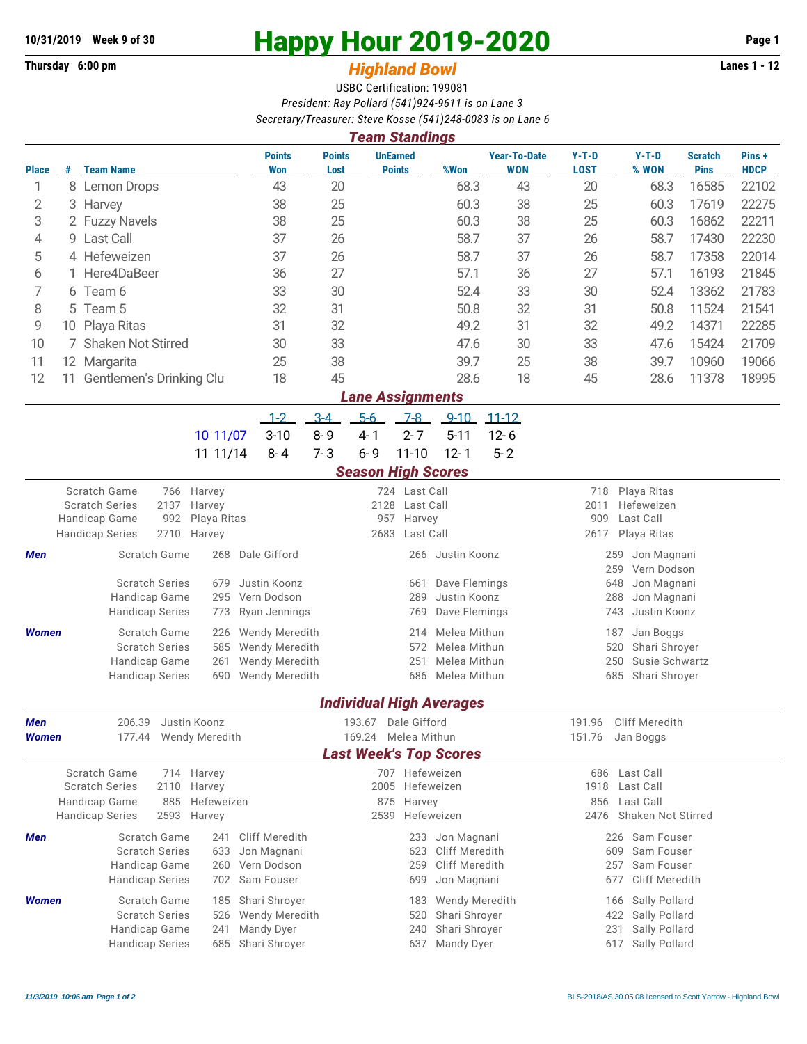## **10/31/2019** Week 9 of 30<br>
Thursday 6:00 pm<br> **Happy Hour 2019-2020** Page 1<br> **Highland Rowl**

## **Thursday 6:00 pm** *Highland Bowl*

USBC Certification: 199081 *President: Ray Pollard (541)924-9611 is on Lane 3 Secretary/Treasurer: Steve Kosse (541)248-0083 is on Lane 6*

| <b>Team Standings</b>           |                         |                                                        |                      |                               |                                    |                     |                                  |                                      |                                   |                                          |                                     |                               |                      |  |  |  |
|---------------------------------|-------------------------|--------------------------------------------------------|----------------------|-------------------------------|------------------------------------|---------------------|----------------------------------|--------------------------------------|-----------------------------------|------------------------------------------|-------------------------------------|-------------------------------|----------------------|--|--|--|
| <b>Place</b>                    |                         | # Team Name                                            |                      | <b>Points</b><br>Won          | <b>Points</b><br>Lost              |                     | <b>UnEarned</b><br><b>Points</b> | %Won                                 | <b>Year-To-Date</b><br><b>WON</b> | $Y-T-D$<br><b>LOST</b>                   | $Y-T-D$<br>% WON                    | <b>Scratch</b><br><b>Pins</b> | Pins+<br><b>HDCP</b> |  |  |  |
| 1                               |                         | 8 Lemon Drops                                          |                      | 43                            | 20                                 |                     |                                  | 68.3                                 | 43                                | 20                                       | 68.3                                | 16585                         | 22102                |  |  |  |
| 2                               | 3                       | Harvey                                                 |                      | 38                            | 25                                 |                     |                                  | 60.3                                 | 38                                | 25                                       | 60.3                                | 17619                         | 22275                |  |  |  |
| 3                               |                         | 2 Fuzzy Navels                                         |                      | 38                            | 25                                 |                     |                                  | 60.3                                 | 38                                | 25                                       | 60.3                                | 16862                         | 22211                |  |  |  |
| 4                               |                         | 9 Last Call                                            |                      | 37                            | 26                                 |                     |                                  | 58.7                                 | 37                                | 26                                       | 58.7                                | 17430                         | 22230                |  |  |  |
| 5                               |                         | 4 Hefeweizen                                           |                      | 37                            | 26                                 |                     |                                  | 58.7                                 | 37                                | 26                                       | 58.7                                | 17358                         | 22014                |  |  |  |
| 6                               |                         | Here4DaBeer                                            |                      | 36                            | 27                                 |                     |                                  | 57.1                                 | 36                                | 27                                       | 57.1                                | 16193                         | 21845                |  |  |  |
| 7                               | 6                       | Team 6                                                 |                      | 33                            | 30                                 |                     |                                  | 52.4                                 | 33                                | 30                                       | 52.4                                | 13362                         | 21783                |  |  |  |
| 8                               | 5.                      | Team 5                                                 |                      | 32                            | 31                                 |                     |                                  | 50.8                                 | 32                                | 31                                       | 50.8                                | 11524                         | 21541                |  |  |  |
| 9                               |                         | 10 Playa Ritas                                         |                      | 31                            | 32                                 |                     |                                  | 49.2                                 | 31                                | 32                                       | 49.2                                | 14371                         | 22285                |  |  |  |
| 10                              |                         | 7 Shaken Not Stirred                                   |                      | 30                            | 33                                 |                     |                                  | 47.6                                 | 30                                | 33                                       | 47.6                                | 15424                         | 21709                |  |  |  |
| 11                              |                         | 12 Margarita                                           |                      | 25                            | 38                                 |                     |                                  | 39.7                                 | 25                                | 38                                       | 39.7                                | 10960                         | 19066                |  |  |  |
| 12                              | 11                      | Gentlemen's Drinking Clu                               |                      | 18                            | 45                                 |                     |                                  | 28.6                                 | 18                                | 45                                       | 28.6                                | 11378                         | 18995                |  |  |  |
|                                 | <b>Lane Assignments</b> |                                                        |                      |                               |                                    |                     |                                  |                                      |                                   |                                          |                                     |                               |                      |  |  |  |
|                                 |                         |                                                        |                      | $1 - 2$                       | $3-4$                              | $5-6$               | $7-8$                            | $9 - 10$                             | $11 - 12$                         |                                          |                                     |                               |                      |  |  |  |
|                                 |                         |                                                        | 10 11/07             | $3 - 10$                      | $8 - 9$                            | $4 - 1$             | $2 - 7$                          | $5 - 11$                             | $12 - 6$                          |                                          |                                     |                               |                      |  |  |  |
|                                 |                         |                                                        | 11 11/14             | $8 - 4$                       | $7 - 3$                            | $6 - 9$             | $11 - 10$                        | $12 - 1$                             | $5 - 2$                           |                                          |                                     |                               |                      |  |  |  |
|                                 |                         |                                                        |                      |                               |                                    |                     | <b>Season High Scores</b>        |                                      |                                   |                                          |                                     |                               |                      |  |  |  |
|                                 |                         | Scratch Game<br>766                                    | Harvey               |                               |                                    |                     | 724 Last Call                    |                                      |                                   | 718                                      | Playa Ritas                         |                               |                      |  |  |  |
|                                 |                         | <b>Scratch Series</b><br>2137                          | Harvey               |                               |                                    | Last Call<br>2128   |                                  |                                      |                                   |                                          | Hefeweizen<br>2011                  |                               |                      |  |  |  |
|                                 |                         | Handicap Game<br>992                                   | Playa Ritas          |                               | 957<br>Harvey<br>2683<br>Last Call |                     |                                  |                                      |                                   | 909<br>Last Call                         |                                     |                               |                      |  |  |  |
|                                 |                         | 2710<br><b>Handicap Series</b>                         | Harvey<br>268        |                               |                                    |                     |                                  |                                      |                                   | 2617<br>Playa Ritas                      |                                     |                               |                      |  |  |  |
| Men                             |                         | Scratch Game                                           | Dale Gifford         |                               |                                    | 266                 | Justin Koonz                     |                                      | Jon Magnani<br>259                |                                          |                                     |                               |                      |  |  |  |
|                                 |                         | <b>Scratch Series</b>                                  | Justin Koonz         |                               | Dave Flemings<br>661               |                     |                                  |                                      |                                   | 259<br>Vern Dodson<br>648<br>Jon Magnani |                                     |                               |                      |  |  |  |
| 679<br>Handicap Game<br>295     |                         |                                                        |                      | Vern Dodson                   |                                    | 289<br>Justin Koonz |                                  |                                      |                                   |                                          | 288<br>Jon Magnani                  |                               |                      |  |  |  |
|                                 |                         | <b>Handicap Series</b>                                 | Ryan Jennings        |                               |                                    | 769                 | Dave Flemings                    |                                      | Justin Koonz<br>743               |                                          |                                     |                               |                      |  |  |  |
| <b>Women</b>                    |                         | Scratch Game                                           | 226                  | Wendy Meredith                |                                    |                     | 214                              | Melea Mithun                         |                                   |                                          | 187<br>Jan Boggs                    |                               |                      |  |  |  |
|                                 |                         | <b>Scratch Series</b>                                  | 585                  | Wendy Meredith                |                                    |                     | 572                              | Melea Mithun                         |                                   |                                          | 520<br>Shari Shroyer                |                               |                      |  |  |  |
|                                 |                         | Handicap Game                                          | 261                  | Wendy Meredith                |                                    |                     | 251                              | Melea Mithun                         |                                   |                                          | Susie Schwartz<br>250               |                               |                      |  |  |  |
|                                 |                         | <b>Handicap Series</b>                                 | 690                  | <b>Wendy Meredith</b>         |                                    |                     | 686                              | Melea Mithun                         |                                   |                                          | 685<br>Shari Shroyer                |                               |                      |  |  |  |
| <b>Individual High Averages</b> |                         |                                                        |                      |                               |                                    |                     |                                  |                                      |                                   |                                          |                                     |                               |                      |  |  |  |
| Men                             |                         | 206.39                                                 | Justin Koonz         |                               |                                    | 193.67              | Dale Gifford                     |                                      |                                   | 191.96                                   | Cliff Meredith                      |                               |                      |  |  |  |
| Women                           |                         | 177.44                                                 | Wendy Meredith       |                               |                                    | 169.24              | Melea Mithun                     |                                      |                                   | 151.76                                   | Jan Boggs                           |                               |                      |  |  |  |
|                                 |                         |                                                        |                      |                               |                                    |                     |                                  | <b>Last Week's Top Scores</b>        |                                   |                                          |                                     |                               |                      |  |  |  |
|                                 |                         | Scratch Game                                           | 714 Harvey<br>Harvey |                               |                                    |                     | 707 Hefeweizen                   |                                      |                                   |                                          | 686 Last Call                       |                               |                      |  |  |  |
|                                 |                         | <b>Scratch Series</b><br>2110                          |                      |                               | 2005 Hefeweizen                    |                     |                                  |                                      |                                   | 1918<br>Last Call<br>856<br>Last Call    |                                     |                               |                      |  |  |  |
|                                 |                         | Handicap Game<br>885<br><b>Handicap Series</b><br>2593 | Hefeweizen<br>Harvey |                               |                                    |                     | 875 Harvey<br>Hefeweizen<br>2539 |                                      |                                   | Shaken Not Stirred<br>2476               |                                     |                               |                      |  |  |  |
|                                 |                         |                                                        |                      |                               |                                    |                     |                                  |                                      |                                   |                                          |                                     |                               |                      |  |  |  |
| Men                             |                         | Scratch Game<br><b>Scratch Series</b>                  | 241<br>633           | Cliff Meredith<br>Jon Magnani |                                    |                     | 233<br>623                       | Jon Magnani<br><b>Cliff Meredith</b> |                                   |                                          | 226 Sam Fouser<br>Sam Fouser<br>609 |                               |                      |  |  |  |
|                                 |                         | Handicap Game                                          | 260                  | Vern Dodson                   |                                    |                     | 259                              | Cliff Meredith                       |                                   |                                          | Sam Fouser<br>257                   |                               |                      |  |  |  |
|                                 |                         | <b>Handicap Series</b>                                 | 702                  | Sam Fouser                    |                                    |                     | 699                              | Jon Magnani                          |                                   |                                          | Cliff Meredith<br>677               |                               |                      |  |  |  |
| <b>Women</b>                    |                         | Scratch Game                                           | 185                  | Shari Shroyer                 |                                    |                     | 183                              | Wendy Meredith                       |                                   |                                          | Sally Pollard<br>166                |                               |                      |  |  |  |
|                                 |                         | <b>Scratch Series</b>                                  | 526                  | Wendy Meredith                |                                    |                     | 520                              | Shari Shroyer                        |                                   |                                          | Sally Pollard<br>422                |                               |                      |  |  |  |
|                                 |                         | Handicap Game                                          | 241                  | Mandy Dyer                    |                                    |                     | 240                              | Shari Shroyer                        |                                   |                                          | Sally Pollard<br>231                |                               |                      |  |  |  |
|                                 |                         | <b>Handicap Series</b>                                 |                      | 685 Shari Shroyer             |                                    |                     | 637                              | Mandy Dyer                           |                                   |                                          | 617<br>Sally Pollard                |                               |                      |  |  |  |